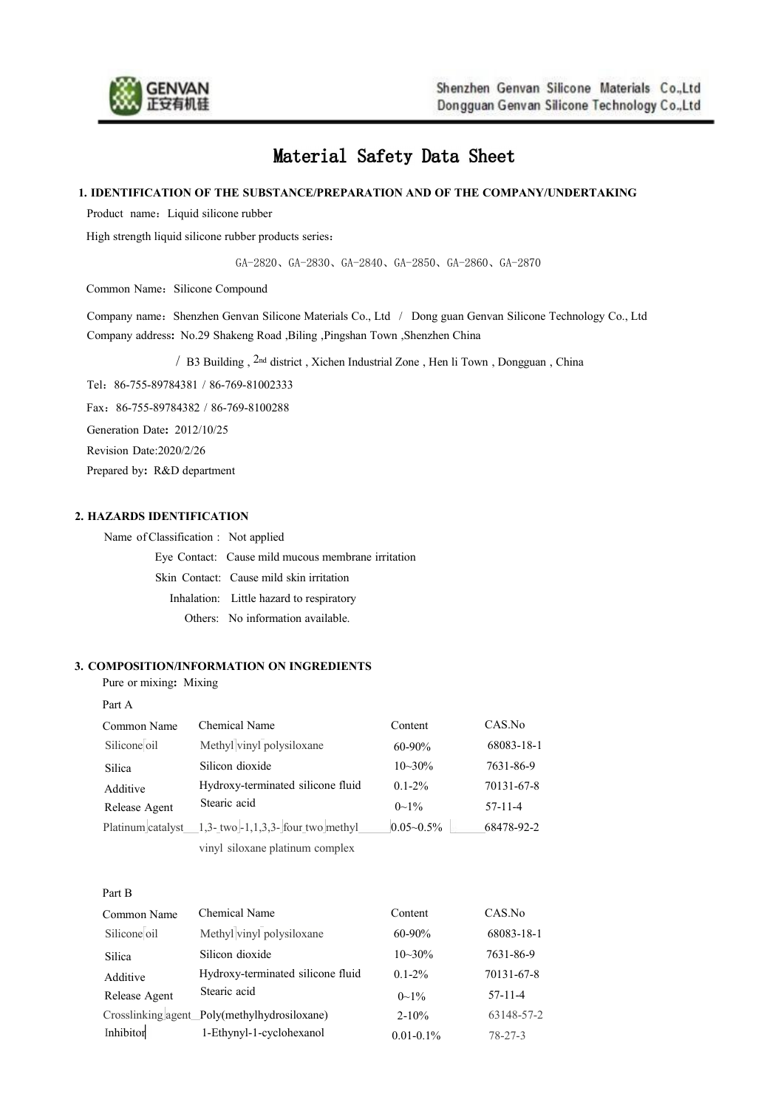

# Material Safety Data Sheet

#### **1. IDENTIFICATION OF THE SUBSTANCE/PREPARATION AND OF THE COMPANY/UNDERTAKING**

Product name: Liquid silicone rubber

High strength liquid silicone rubber products series:

GA-2820、GA-2830、GA-2840、GA-2850、GA-2860、GA-2870

Common Name: Silicone Compound

Company name: Shenzhen Genvan Silicone Materials Co., Ltd / Dong guan Genvan Silicone Technology Co., Ltd Company address**:** No.29 Shakeng Road ,Biling ,Pingshan Town ,Shenzhen China

/ B3 Building , 2nd district ,Xichen Industrial Zone , Hen li Town , Dongguan , China

Tel:86-755-89784381 / 86-769-81002333

Fax:86-755-89784382 / 86-769-8100288

Generation Date**:** 2012/10/25

Revision Date:2020/2/26

Prepared by**:** R&D department

## **2. HAZARDS IDENTIFICATION**

Name of Classification : Not applied

Eye Contact: Cause mild mucous membrane irritation

Skin Contact: Cause mild skin irritation

Inhalation: Little hazard to respiratory

Others: No information available.

#### **3. COMPOSITION/INFORMATION ON INGREDIENTS**

Pure or mixing**:** Mixing

| Common Name       | Chemical Name                         | Content        | CAS.No     |
|-------------------|---------------------------------------|----------------|------------|
| Silicone oil      | Methyl vinyl polysiloxane             | $60 - 90\%$    | 68083-18-1 |
| Silica            | Silicon dioxide                       | $10 - 30\%$    | 7631-86-9  |
| Additive          | Hydroxy-terminated silicone fluid     | $0.1 - 2\%$    | 70131-67-8 |
| Release Agent     | Stearic acid                          | $0\sim1\%$     | $57-11-4$  |
| Platinum catalyst | 1,3- two $-1,1,3,3$ - four two methyl | $0.05 - 0.5\%$ | 68478-92-2 |
|                   | vinyl siloxane platinum complex       |                |            |
|                   |                                       |                |            |

| Common Name   | Chemical Name                                | Content        | CAS.No        |
|---------------|----------------------------------------------|----------------|---------------|
| Silicone oil  | Methyl vinyl polysiloxane                    | $60 - 90\%$    | 68083-18-1    |
| Silica        | Silicon dioxide                              | $10 - 30%$     | 7631-86-9     |
| Additive      | Hydroxy-terminated silicone fluid            | $0.1 - 2\%$    | 70131-67-8    |
| Release Agent | Stearic acid                                 | $0\sim 1\%$    | $57 - 11 - 4$ |
|               | Crosslinking agent Poly(methylhydrosiloxane) | $2 - 10\%$     | 63148-57-2    |
| Inhibitor     | 1-Ethynyl-1-cyclohexanol                     | $0.01 - 0.1\%$ | $78 - 27 - 3$ |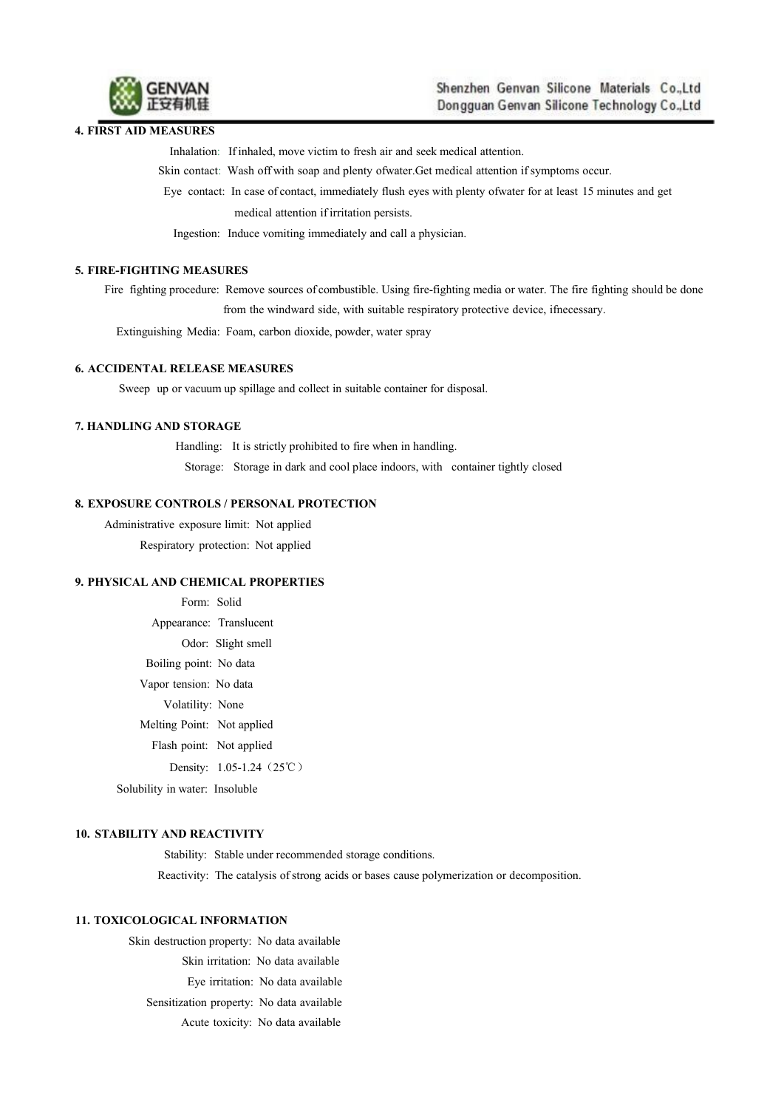

#### **4. FIRST AID MEASURES**

Inhalation: If inhaled, move victim to fresh air and seek medical attention.

Skin contact: Wash off with soap and plenty ofwater.Get medical attention if symptoms occur.

Eye contact: In case of contact, immediately flush eyeswith plenty ofwater for at least 15 minutes and get medical attention if irritation persists.

Ingestion: Induce vomiting immediately and call a physician.

### **5. FIRE-FIGHTING MEASURES**

Fire fighting procedure: Remove sources ofcombustible. Using fire-fighting media or water. The fire fighting should be done from the windward side, with suitable respiratory protective device, ifnecessary.

Extinguishing Media: Foam, carbon dioxide, powder, water spray

## **6. ACCIDENTAL RELEASE MEASURES**

Sweep up or vacuum up spillage and collect in suitable container for disposal.

## **7. HANDLING AND STORAGE**

Handling: It is strictly prohibited to fire when in handling. Storage: Storage in dark and cool place indoors, with container tightly closed

#### **8. EXPOSURE CONTROLS / PERSONAL PROTECTION**

Administrative exposure limit: Not applied Respiratory protection: Not applied

#### **9. PHYSICAL AND CHEMICAL PROPERTIES**

Form: Solid Appearance: Translucent Odor: Slight smell Boiling point: No data Vapor tension: No data Volatility: None Melting Point: Not applied Flash point: Not applied Density: 1.05-1.24 (25℃) Solubility in water: Insoluble

## **10. STABILITY AND REACTIVITY**

Stability: Stable under recommended storage conditions. Reactivity: The catalysis of strong acids or bases cause polymerization or decomposition.

#### **11. TOXICOLOGICAL INFORMATION**

Skin destruction property: No data available Skin irritation: No data available Eye irritation: No data available Sensitization property: No data available Acute toxicity: No data available